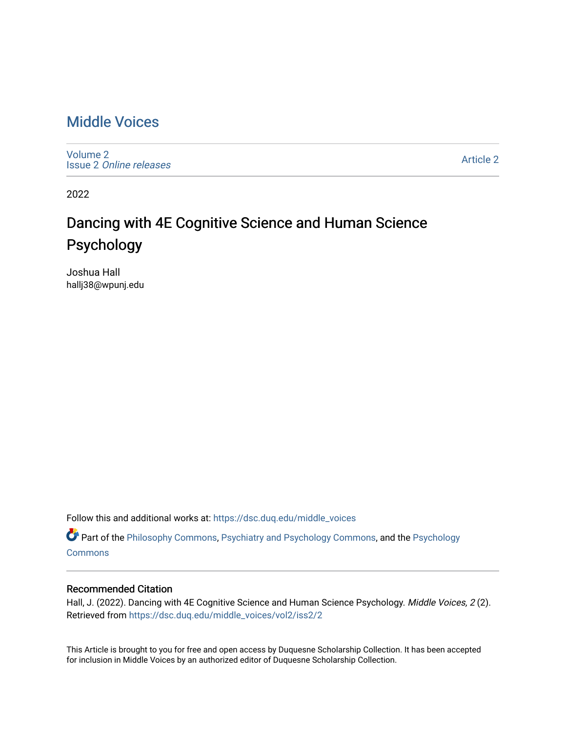### [Middle Voices](https://dsc.duq.edu/middle_voices)

[Volume 2](https://dsc.duq.edu/middle_voices/vol2) Issue 2 [Online releases](https://dsc.duq.edu/middle_voices/vol2/iss2) 

[Article 2](https://dsc.duq.edu/middle_voices/vol2/iss2/2) 

2022

## Dancing with 4E Cognitive Science and Human Science Psychology

Joshua Hall hallj38@wpunj.edu

Follow this and additional works at: [https://dsc.duq.edu/middle\\_voices](https://dsc.duq.edu/middle_voices?utm_source=dsc.duq.edu%2Fmiddle_voices%2Fvol2%2Fiss2%2F2&utm_medium=PDF&utm_campaign=PDFCoverPages)

Part of the [Philosophy Commons,](http://network.bepress.com/hgg/discipline/525?utm_source=dsc.duq.edu%2Fmiddle_voices%2Fvol2%2Fiss2%2F2&utm_medium=PDF&utm_campaign=PDFCoverPages) [Psychiatry and Psychology Commons,](http://network.bepress.com/hgg/discipline/908?utm_source=dsc.duq.edu%2Fmiddle_voices%2Fvol2%2Fiss2%2F2&utm_medium=PDF&utm_campaign=PDFCoverPages) and the [Psychology](http://network.bepress.com/hgg/discipline/404?utm_source=dsc.duq.edu%2Fmiddle_voices%2Fvol2%2Fiss2%2F2&utm_medium=PDF&utm_campaign=PDFCoverPages)  [Commons](http://network.bepress.com/hgg/discipline/404?utm_source=dsc.duq.edu%2Fmiddle_voices%2Fvol2%2Fiss2%2F2&utm_medium=PDF&utm_campaign=PDFCoverPages)

### Recommended Citation

Hall, J. (2022). Dancing with 4E Cognitive Science and Human Science Psychology. Middle Voices, 2 (2). Retrieved from [https://dsc.duq.edu/middle\\_voices/vol2/iss2/2](https://dsc.duq.edu/middle_voices/vol2/iss2/2?utm_source=dsc.duq.edu%2Fmiddle_voices%2Fvol2%2Fiss2%2F2&utm_medium=PDF&utm_campaign=PDFCoverPages) 

This Article is brought to you for free and open access by Duquesne Scholarship Collection. It has been accepted for inclusion in Middle Voices by an authorized editor of Duquesne Scholarship Collection.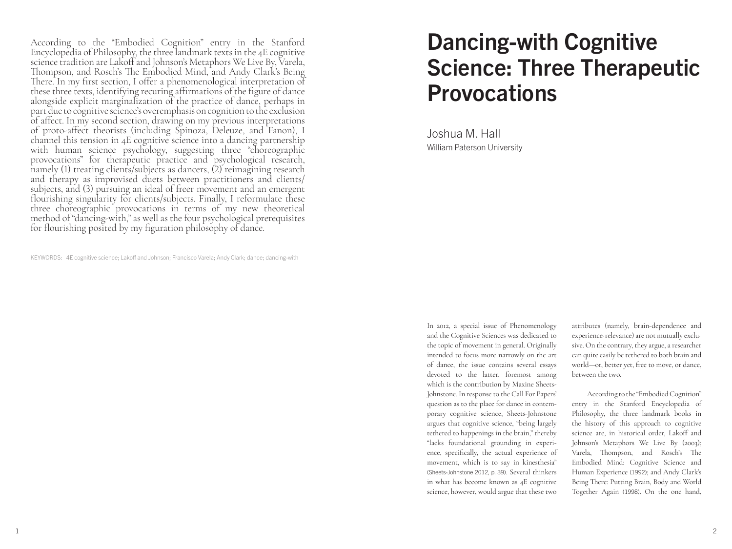According to the "Embodied Cognition" entry in the Stanford Encyclopedia of Philosophy, the three landmark texts in the 4E cognitive science tradition are Lakoff and Johnson's Metaphors We Live By, Varela, Thompson, and Rosch's The Embodied Mind, and Andy Clark's Being There. In my first section, I offer a phenomenological interpretation of these three texts, identifying recuring affirmations of the figure of dance alongside explicit marginalization of the practice of dance, perhaps in part due to cognitive science's overemphasis on cognition to the exclusion of affect. In my second section, drawing on my previous interpretations of proto-affect theorists (including Spinoza, Deleuze, and Fanon), I channel this tension in 4E cognitive science into a dancing partnership with human science psychology, suggesting three "choreographic provocations" for therapeutic practice and psychological research, namely (1) treating clients/subjects as dancers, (2) reimagining research and therapy as improvised duets between practitioners and clients/ subjects, and (3) pursuing an ideal of freer movement and an emergent flourishing singularity for clients/subjects. Finally, I reformulate these three choreographic provocations in terms of my new theoretical method of "dancing-with," as well as the four psychological prerequisites for flourishing posited by my figuration philosophy of dance.

KEYWORDS: 4E cognitive science; Lakoff and Johnson; Francisco Varela; Andy Clark; dance; dancing-with

# Dancing-with Cognitive Science: Three Therapeutic **Provocations**

Joshua M. Hall William Paterson University

In 2012, a special issue of Phenomenology and the Cognitive Sciences was dedicated to the topic of movement in general. Originally intended to focus more narrowly on the art of dance, the issue contains several essays devoted to the latter, foremost among which is the contribution by Maxine Sheets-Johnstone. In response to the Call For Papers' question as to the place for dance in contemporary cognitive science, Sheets-Johnstone argues that cognitive science, "being largely tethered to happenings in the brain," thereby "lacks foundational grounding in experience, specifically, the actual experience of movement, which is to say in kinesthesia" (Sheets-Johnstone 2012, p. 39). Several thinkers in what has become known as 4E cognitive science, however, would argue that these two

attributes (namely, brain-dependence and experience-relevance) are not mutually exclusive. On the contrary, they argue, a researcher can quite easily be tethered to both brain and world—or, better yet, free to move, or dance, between the two.

According to the "Embodied Cognition" entry in the Stanford Encyclopedia of Philosophy, the three landmark books in the history of this approach to cognitive science are, in historical order, Lakoff and Johnson's Metaphors We Live By (2003); Varela, Thompson, and Rosch's The Embodied Mind: Cognitive Science and Human Experience (1992); and Andy Clark's Being There: Putting Brain, Body and World Together Again (1998). On the one hand,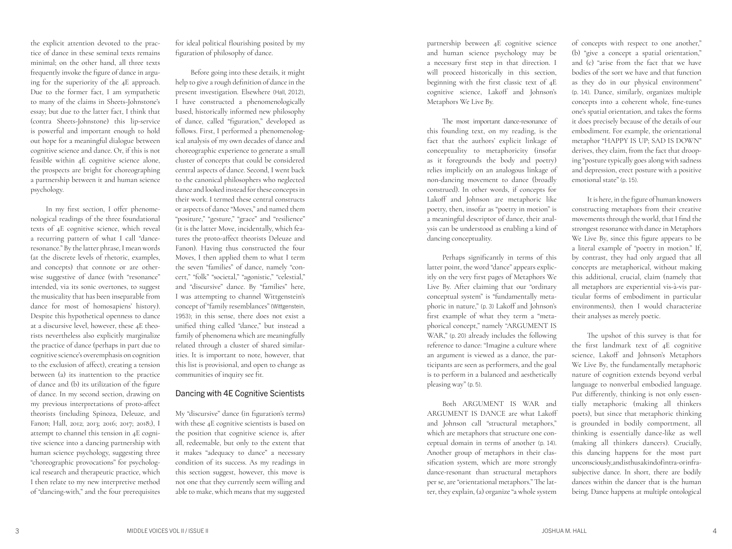the explicit attention devoted to the prac tice of dance in these seminal texts remains minimal; on the other hand, all three texts frequently invoke the figure of dance in argu ing for the superiority of the 4E approach. Due to the former fact, I am sympathetic to many of the claims in Sheets-Johnstone's essay; but due to the latter fact, I think that (contra Sheets-Johnstone) this lip-service is powerful and important enough to hold out hope for a meaningful dialogue between cognitive science and dance. Or, if this is not feasible within 4E cognitive science alone, the prospects are bright for choreographing a partnership between it and human science psychology.

In my first section, I offer phenome nological readings of the three foundational texts of 4E cognitive science, which reveal a recurring pattern of what I call "danceresonance." By the latter phrase, I mean words (at the discrete levels of rhetoric, examples, and concepts) that connote or are other wise suggestive of dance (with "resonance" intended, via its sonic overtones, to suggest the musicality that has been inseparable from dance for most of homosapiens' history). Despite this hypothetical openness to dance at a discursive level, however, these 4E theo rists nevertheless also explicitly marginalize the practice of dance (perhaps in part due to cognitive science's overemphasis on cognition to the exclusion of affect), creating a tension between (a) its inattention to the practice of dance and (b) its utilization of the figure of dance. In my second section, drawing on my previous interpretations of proto-affect theorists (including Spinoza, Deleuze, and Fanon; Hall, 2012; 2013; 2016; 2017; 2018;), I attempt to channel this tension in 4E cogni tive science into a dancing partnership with human science psychology, suggesting three "choreographic provocations" for psycholog ical research and therapeutic practice, which I then relate to my new interpretive method of "dancing-with," and the four prerequisites

for ideal political flourishing posited by my figuration of philosophy of dance.

Before going into these details, it might help to give a rough definition of dance in the present investigation. Elsewhere (Hall, 2012), I have constructed a phenomenologically based, historically informed new philosophy of dance, called "figuration," developed as follows. First, I performed a phenomenolog ical analysis of my own decades of dance and choreographic experience to generate a small cluster of concepts that could be considered central aspects of dance. Second, I went back to the canonical philosophers who neglected dance and looked instead for these concepts in their work. I termed these central constructs or aspects of dance "Moves," and named them "positure," "gesture," "grace" and "resilience" (it is the latter Move, incidentally, which fea tures the proto-affect theorists Deleuze and Fanon). Having thus constructed the four Moves, I then applied them to what I term the seven "families" of dance, namely "con cert," "folk" "societal," "agonistic," "celestial," and "discursive" dance. By "families" here, I was attempting to channel Wittgenstein's concept of "family resemblances" (Wittgenstein, 1953); in this sense, there does not exist a unified thing called "dance," but instead a family of phenomena which are meaningfully related through a cluster of shared similar ities. It is important to note, however, that this list is provisional, and open to change as communities of inquiry see fit.

#### Dancing with 4E Cognitive Scientists

My "discursive" dance (in figuration's terms) with these 4E cognitive scientists is based on the position that cognitive science is, after all, redeemable, but only to the extent that it makes "adequacy to dance" a necessary condition of its success. As my readings in this section suggest, however, this move is not one that they currently seem willing and able to make, which means that my suggested

partnership between 4E cognitive science and human science psychology may be a necessary first step in that direction. I will proceed historically in this section, beginning with the first classic text of 4E cognitive science, Lakoff and Johnson's Metaphors We Live By.

The most important dance-resonance of this founding text, on my reading, is the fact that the authors' explicit linkage of conceptuality to metaphoricity (insofar as it foregrounds the body and poetry) relies implicitly on an analogous linkage of non-dancing movement to dance (broadly construed). In other words, if concepts for Lakoff and Johnson are metaphoric like poetry, then, insofar as "poetry in motion" is a meaningful descriptor of dance, their anal ysis can be understood as enabling a kind of dancing conceptuality.

Perhaps significantly in terms of this latter point, the word "dance" appears explic itly on the very first pages of Metaphors We Live By. After claiming that our "ordinary conceptual system" is "fundamentally meta phoric in nature," (p. 3) Lakoff and Johnson's first example of what they term a "meta phorical concept," namely "ARGUMENT IS WAR," (p. 20) already includes the following reference to dance: "Imagine a culture where an argument is viewed as a dance, the par ticipants are seen as performers, and the goal is to perform in a balanced and aesthetically pleasing way" (p. 5) .

Both ARGUMENT IS WAR and ARGUMENT IS DANCE are what Lakoff and Johnson call "structural metaphors," which are metaphors that structure one con ceptual domain in terms of another (p. 14). Another group of metaphors in their clas sification system, which are more strongly dance-resonant than structural metaphors per se, are "orientational metaphors." The lat ter, they explain, (a) organize "a whole system

of concepts with respect to one another," (b) "give a concept a spatial orientation," and (c) "arise from the fact that we have bodies of the sort we have and that function as they do in our physical environment" (p. 14). Dance, similarly, organizes multiple concepts into a coherent whole, fine-tunes one's spatial orientation, and takes the forms it does precisely because of the details of our embodiment. For example, the orientational metaphor "HAPPY IS UP; SAD IS DOWN" derives, they claim, from the fact that droop ing "posture typically goes along with sadness and depression, erect posture with a positive emotional state" (p. 15).

It is here, in the figure of human knowers constructing metaphors from their creative movements through the world, that I find the strongest resonance with dance in Metaphors We Live By, since this figure appears to be a literal example of "poetry in motion." If, by contrast, they had only argued that all concepts are metaphorical, without making this additional, crucial, claim (namely that all metaphors are experiential vis-à-vis par ticular forms of embodiment in particular environments), then I would characterize their analyses as merely poetic.

The upshot of this survey is that for the first landmark text of 4E cognitive science, Lakoff and Johnson's Metaphors We Live By, the fundamentally metaphoric nature of cognition extends beyond verbal language to nonverbal embodied language. Put differently, thinking is not only essen tially metaphoric (making all thinkers poets), but since that metaphoric thinking is grounded in bodily comportment, all thinking is essentially dance-like as well (making all thinkers dancers). Crucially, this dancing happens for the most part unconsciously, and is thus a kind of intra- or infrasubjective dance. In short, there are bodily dances within the dancer that is the human being. Dance happens at multiple ontological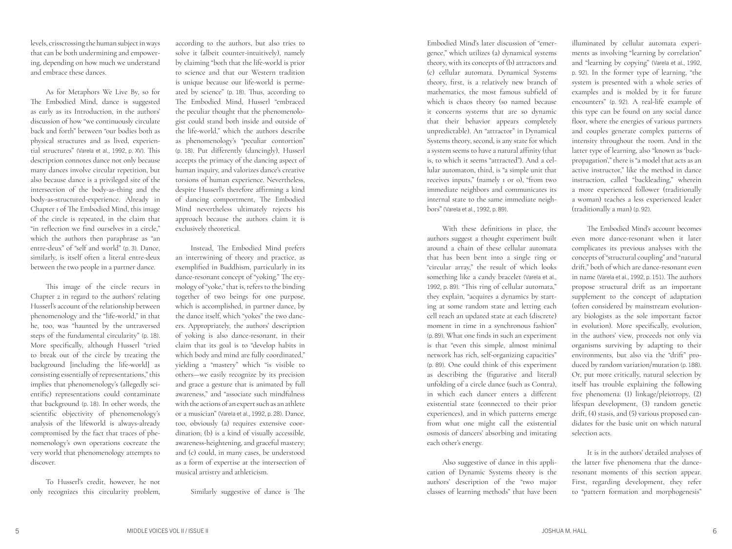levels, crisscrossing the human subject in ways that can be both undermining and empower ing, depending on how much we understand and embrace these dances.

As for Metaphors We Live By, so for The Embodied Mind, dance is suggested as early as its Introduction, in the authors' discussion of how "we continuously circulate back and forth" between "our bodies both as physical structures and as lived, experien tial structures" (Varela et al., 1992, p. XV). This description connotes dance not only because many dances involve circular repetition, but also because dance is a privileged site of the intersection of the body-as-thing and the body-as-structured-experience. Already in Chapter 1 of The Embodied Mind, this image of the circle is repeated, in the claim that "in reflection we find ourselves in a circle," which the authors then paraphrase as "an entre-deux" of "self and world" (p. 3). Dance, similarly, is itself often a literal entre-deux between the two people in a partner dance.

This image of the circle recurs in Chapter 2 in regard to the authors' relating Husserl's account of the relationship between phenomenology and the "life-world," in that he, too, was "haunted by the untraversed steps of the fundamental circularity" (p. 18). More specifically, although Husserl "tried to break out of the circle by treating the background [including the life-world] as consisting essentially of representations," this implies that phenomenology's (allegedly sci entific) representations could contaminate that background (p. 18). In other words, the scientific objectivity of phenomenology's analysis of the lifeworld is always-already compromised by the fact that traces of phe nomenology's own operations cocreate the very world that phenomenology attempts to discover.

To Husserl's credit, however, he not only recognizes this circularity problem,

5

according to the authors, but also tries to solve it (albeit counter-intuitively), namely by claiming "both that the life-world is prior to science and that our Western tradition is unique because our life-world is perme ated by science" (p. 18). Thus, according to The Embodied Mind, Husserl "embraced the peculiar thought that the phenomenolo gist could stand both inside and outside of the life-world," which the authors describe as phenomenology's "peculiar contortion" (p. 18). Put differently (dancingly), Husserl accepts the primacy of the dancing aspect of human inquiry, and valorizes dance's creative torsions of human experience. Nevertheless, despite Husserl's therefore affirming a kind of dancing comportment, The Embodied Mind nevertheless ultimately rejects his approach because the authors claim it is exclusively theoretical.

Instead, The Embodied Mind prefers an intertwining of theory and practice, as exemplified in Buddhism, particularly in its dance-resonant concept of "yoking." The ety mology of "yoke," that is, refers to the binding together of two beings for one purpose, which is accomplished, in partner dance, by the dance itself, which "yokes" the two danc ers. Appropriately, the authors' description of yoking is also dance-resonant, in their claim that its goal is to "develop habits in which body and mind are fully coordinated," yielding a "mastery" which "is visible to others—we easily recognize by its precision and grace a gesture that is animated by full awareness," and "associate such mindfulness with the actions of an expert such as an athlete or a musician" (Varela et al., 1992, p. 28). Dance, too, obviously (a) requires extensive coor dination; (b) is a kind of visually accessible, awareness-heightening, and graceful mastery; and (c) could, in many cases, be understood as a form of expertise at the intersection of musical artistry and athleticism.

Similarly suggestive of dance is The

Embodied Mind's later discussion of "emer gence," which utilizes (a) dynamical systems theory, with its concepts of (b) attractors and (c) cellular automata. Dynamical Systems theory, first, is a relatively new branch of mathematics, the most famous subfield of which is chaos theory (so named because it concerns systems that are so dynamic that their behavior appears completely unpredictable). An "attractor" in Dynamical Systems theory, second, is any state for which a system seems to have a natural affinity (that is, to which it seems "attracted"). And a cel lular automaton, third, is "a simple unit that receives inputs," (namely 1 or 0), "from two immediate neighbors and communicates its internal state to the same immediate neigh bors" (Varela et al., 1992, p. 89) .

With these definitions in place, the authors suggest a thought experiment built around a chain of these cellular automata that has been bent into a single ring or "circular array," the result of which looks something like a candy bracelet (Varela et al., 1992, p. 89). "This ring of cellular automata," they explain, "acquires a dynamics by start ing at some random state and letting each cell reach an updated state at each (discrete) moment in time in a synchronous fashion" (p. 89). What one finds in such an experiment is that "even this simple, almost minimal network has rich, self-organizing capacities" (p. 89). One could think of this experiment as describing the (figurative and literal) unfolding of a circle dance (such as Contra), in which each dancer enters a different existential state (connected to their prior experiences), and in which patterns emerge from what one might call the existential osmosis of dancers' absorbing and imitating each other's energy.

Also suggestive of dance in this appli cation of Dynamic Systems theory is the authors' description of the "two major classes of learning methods" that have been

illuminated by cellular automata experi ments as involving "learning by correlation" and "learning by copying" (Varela et al., 1992, p. 92). In the former type of learning, "the system is presented with a whole series of examples and is molded by it for future encounters" (p. 92). A real-life example of this type can be found on any social dance floor, where the energies of various partners and couples generate complex patterns of intensity throughout the room. And in the latter type of learning, also "known as 'back propagation'," there is "a model that acts as an active instructor," like the method in dance instruction, called "backleading," wherein a more experienced follower (traditionally a woman) teaches a less experienced leader (traditionally a man) (p. 92) .

The Embodied Mind's account becomes even more dance-resonant when it later complicates its previous analyses with the concepts of "structural coupling" and "natural drift," both of which are dance-resonant even in name (Varela et al., 1992, p. 151). The authors propose structural drift as an important supplement to the concept of adaptation (often considered by mainstream evolution ary biologists as the sole important factor in evolution). More specifically, evolution, in the authors' view, proceeds not only via organisms surviving by adapting to their environments, but also via the "drift" pro duced by random variation/mutation (p. 188) . Or, put more critically, natural selection by itself has trouble explaining the following five phenomena: (1) linkage/pleiotropy, (2) lifespan development, (3) random genetic drift, (4) stasis, and (5) various proposed can didates for the basic unit on which natural selection acts.

It is in the authors' detailed analyses of the latter five phenomena that the danceresonant moments of this section appear. First, regarding development, they refer to "pattern formation and morphogenesis"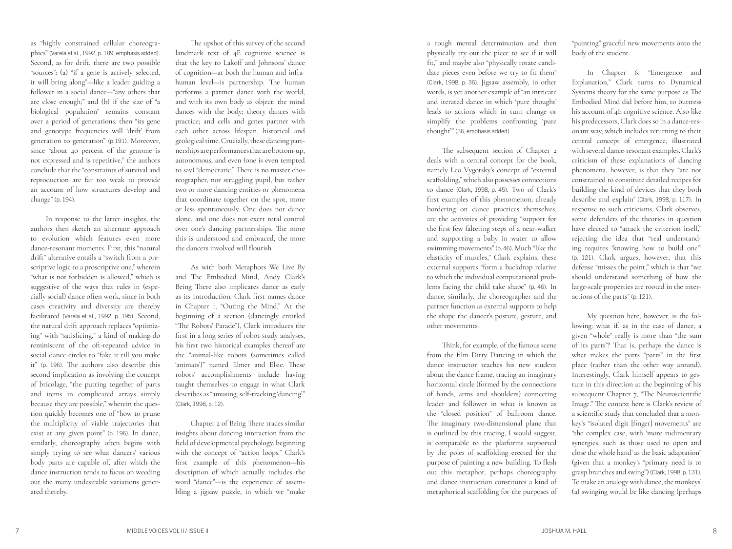as "highly constrained cellular choreogra phies" (Varela et al., 1992, p. 189, emphasis added). Second, as for drift, there are two possible "sources": (a) "if a gene is actively selected, it will bring along"—like a leader guiding a follower in a social dance—"any others that are close enough;" and (b) if the size of "a biological population" remains constant over a period of generations, then "its gene and genotype frequencies will 'drift' from generation to generation" (p.191). Moreover, since "about 40 percent of the genome is not expressed and is repetitive," the authors conclude that the "constraints of survival and reproduction are far too weak to provide an account of how structures develop and change" (p. 194).

In response to the latter insights, the authors then sketch an alternate approach to evolution which features even more dance-resonant moments. First, this "natural drift" alterative entails a "switch from a pre scriptive logic to a proscriptive one," wherein "what is not forbidden is allowed," which is suggestive of the ways that rules in (espe cially social) dance often work, since in both cases creativity and diversity are thereby facilitated (Varela et al., 1992, p. 195). Second, the natural drift approach replaces "optimiz ing" with "satisficing," a kind of making-do reminiscent of the oft-repeated advice in social dance circles to "fake it till you make it" (p. 196). The authors also describe this second implication as involving the concept of bricolage, "the putting together of parts and items in complicated arrays…simply because they are possible," wherein the ques tion quickly becomes one of "how to prune the multiplicity of viable trajectories that exist at any given point" (p. 196). In dance, similarly, choreography often begins with simply trying to see what dancers' various body parts are capable of, after which the dance instruction tends to focus on weeding out the many undesirable variations gener ated thereby.

The upshot of this survey of the second landmark text of 4E cognitive science is that the key to Lakoff and Johnsons' dance of cognition—at both the human and infra human level—is partnership. The human performs a partner dance with the world, and with its own body as object; the mind dances with the body; theory dances with practice; and cells and genes partner with each other across lifespan, historical and geological time. Crucially, these dancing part nerships are performances that are bottom-up, autonomous, and even (one is even tempted to say) "democratic." There is no master cho reographer, nor struggling pupil, but rather two or more dancing entities or phenomena that coordinate together on the spot, more or less spontaneously. One does not dance alone, and one does not exert total control over one's dancing partnerships. The more this is understood and embraced, the more the dancers involved will flourish.

As with both Metaphors We Live By and The Embodied Mind, Andy Clark's Being There also implicates dance as early as its Introduction. Clark first names dance in Chapter 1, "Outing the Mind." At the beginning of a section (dancingly entitled "The Robots' Parade"), Clark introduces the first in a long series of robot-study analyses, his first two historical examples thereof are the "animal-like robots (sometimes called 'animats')" named Elmer and Elsie. These robots' accomplishments include having taught themselves to engage in what Clark describes as "amusing, self-tracking 'dancing'" (Clark, 1998, p. 12) .

Chapter 2 of Being There traces similar insights about dancing interaction from the field of developmental psychology, beginning with the concept of "action loops." Clark's first example of this phenomenon—his description of which actually includes the word "dance"—is the experience of assem bling a jigsaw puzzle, in which we "make a rough mental determination and then physically try out the piece to see if it will fit," and maybe also "physically rotate candi date pieces even before we try to fit them" (Clark, 1998, p. 36). Jigsaw assembly, in other words, is yet another example of "an intricate and iterated dance in which 'pure thought' leads to actions which in turn change or simplify the problems confronting 'pure thought'" (36, emphasis added).

The subsequent section of Chapter 2 deals with a central concept for the book, namely Leo Vygotsky's concept of "external scaffolding," which also possesses connections to dance (Clark, 1998, p. 45). Two of Clark's first examples of this phenomenon, already bordering on dance practices themselves, are the activities of providing "support for the first few faltering steps of a near-walker and supporting a baby in water to allow swimming movements" (p. 46). Much "like the elasticity of muscles," Clark explains, these external supports "form a backdrop relative to which the individual computational prob lems facing the child take shape" (p. 46). In dance, similarly, the choreographer and the partner function as external supports to help the shape the dancer's posture, gesture, and other movements.

Think, for example, of the famous scene from the film Dirty Dancing in which the dance instructor teaches his new student about the dance frame, tracing an imaginary horizontal circle (formed by the connections of hands, arms and shoulders) connecting leader and follower in what is known as the "closed position" of ballroom dance. The imaginary two-dimensional plane that is outlined by this tracing, I would suggest, is comparable to the platforms supported by the poles of scaffolding erected for the purpose of painting a new building. To flesh out this metaphor, perhaps choreography and dance instruction constitutes a kind of metaphorical scaffolding for the purposes of

"painting" graceful new movements onto the body of the student.

In Chapter 6, "Emergence and Explanation," Clark turns to Dynamical Systems theory for the same purpose as The Embodied Mind did before him, to buttress his account of 4E cognitive science. Also like his predecessors, Clark does so in a dance-res onant way, which includes returning to their central concept of emergence, illustrated with several dance-resonant examples. Clark's criticism of these explanations of dancing phenomena, however, is that they "are not constrained to constitute detailed recipes for building the kind of devices that they both describe and explain" (Clark, 1998, p. 117). In response to such criticisms, Clark observes, some defenders of the theories in question have elected to "attack the criterion itself," rejecting the idea that "real understand ing requires 'knowing how to build one'" (p. 121). Clark argues, however, that this defense "misses the point," which is that "we should understand something of how the large-scale properties are rooted in the inter actions of the parts" (p. 121).

My question here, however, is the fol lowing: what if, as in the case of dance, a given "whole" really is more than "the sum of its parts"? That is, perhaps the dance is what makes the parts "parts" in the first place (rather than the other way around). Interestingly, Clark himself appears to ges ture in this direction at the beginning of his subsequent Chapter 7, "The Neuroscientific Image." The context here is Clark's review of a scientific study that concluded that a mon key's "isolated digit [finger] movements" are "the complex case, with 'more rudimentary synergies, such as those used to open and close the whole hand' as the basic adaptation" (given that a monkey's "primary need is to grasp branches and swing") (Clark, 1998, p. 131) . To make an analogy with dance, the monkeys' (a) swinging would be like dancing (perhaps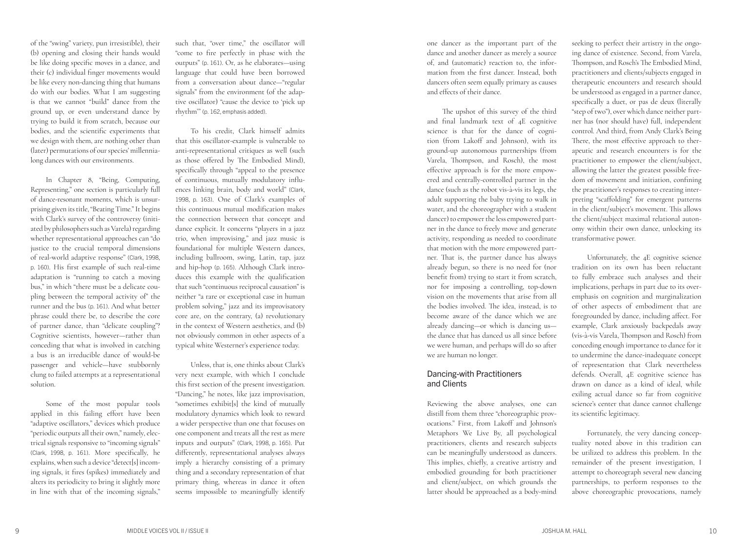of the "swing" variety, pun irresistible), their (b) opening and closing their hands would be like doing specific moves in a dance, and their (c) individual finger movements would be like every non-dancing thing that humans do with our bodies. What I am suggesting is that we cannot "build" dance from the ground up, or even understand dance by trying to build it from scratch, because our bodies, and the scientific experiments that we design with them, are nothing other than (later) permutations of our species' millennialong dances with our environments.

In Chapter 8, "Being, Computing, Representing," one section is particularly full of dance-resonant moments, which is unsur prising given its title, "Beating Time." It begins with Clark's survey of the controversy (initi ated by philosophers such as Varela) regarding whether representational approaches can "do justice to the crucial temporal dimensions of real-world adaptive response" (Clark, 1998, p. 160). His first example of such real-time adaptation is "running to catch a moving bus," in which "there must be a delicate cou pling between the temporal activity of" the runner and the bus (p. 161). And what better phrase could there be, to describe the core of partner dance, than "delicate coupling"? Cognitive scientists, however—rather than conceding that what is involved in catching a bus is an irreducible dance of would-be passenger and vehicle—have stubbornly clung to failed attempts at a representational solution.

Some of the most popular tools applied in this failing effort have been "adaptive oscillators," devices which produce "periodic outputs all their own," namely, elec trical signals responsive to "incoming signals" (Clark, 1998, p. 161). More specifically, he explains, when such a device "detect[s] incom ing signals, it fires (spikes) immediately and alters its periodicity to bring it slightly more in line with that of the incoming signals,"

such that, "over time," the oscillator will "come to fire perfectly in phase with the outputs" (p. 161). Or, as he elaborates—using language that could have been borrowed from a conversation about dance—"regular signals" from the environment (of the adap tive oscillator) "cause the device to 'pick up rhythm'" (p. 162, emphasis added).

To his credit, Clark himself admits that this oscillator-example is vulnerable to anti-representational critiques as well (such as those offered by The Embodied Mind), specifically through "appeal to the presence of continuous, mutually modulatory influ ences linking brain, body and world" (Clark, 1998, p. 163). One of Clark's examples of this continuous mutual modification makes the connection between that concept and dance explicit. It concerns "players in a jazz trio, when improvising," and jazz music is foundational for multiple Western dances, including ballroom, swing, Latin, tap, jazz and hip-hop (p. 165). Although Clark intro duces this example with the qualification that such "continuous reciprocal causation" is neither "a rare or exceptional case in human problem solving," jazz and its improvisatory core are, on the contrary, (a) revolutionary in the context of Western aesthetics, and (b) not obviously common in other aspects of a typical white Westerner's experience today.

Unless, that is, one thinks about Clark's very next example, with which I conclude this first section of the present investigation. "Dancing," he notes, like jazz improvisation, "sometimes exhibit[s] the kind of mutually modulatory dynamics which look to reward a wider perspective than one that focuses on one component and treats all the rest as mere inputs and outputs" (Clark, 1998, p. 165). Put differently, representational analyses always imply a hierarchy consisting of a primary thing and a secondary representation of that primary thing, whereas in dance it often seems impossible to meaningfully identify

one dancer as the important part of the dance and another dancer as merely a source of, and (automatic) reaction to, the infor mation from the first dancer. Instead, both dancers often seem equally primary as causes and effects of their dance.

The upshot of this survey of the third and final landmark text of 4E cognitive science is that for the dance of cogni tion (from Lakoff and Johnson), with its ground-up autonomous partnerships (from Varela, Thompson, and Rosch), the most effective approach is for the more empow ered and centrally-controlled partner in the dance (such as the robot vis-à-vis its legs, the adult supporting the baby trying to walk in water, and the choreographer with a student dancer) to empower the less empowered part ner in the dance to freely move and generate activity, responding as needed to coordinate that motion with the more empowered part ner. That is, the partner dance has always already begun, so there is no need for (nor benefit from) trying to start it from scratch, nor for imposing a controlling, top-down vision on the movements that arise from all the bodies involved. The idea, instead, is to become aware of the dance which we are already dancing—or which is dancing us the dance that has danced us all since before we were human, and perhaps will do so after we are human no longer.

### Dancing-with Practitioners and Clients

Reviewing the above analyses, one can distill from them three "choreographic prov ocations." First, from Lakoff and Johnson's Metaphors We Live By, all psychological practitioners, clients and research subjects can be meaningfully understood as dancers. This implies, chiefly, a creative artistry and embodied grounding for both practitioner and client/subject, on which grounds the latter should be approached as a body-mind

seeking to perfect their artistry in the ongo ing dance of existence. Second, from Varela, Thompson, and Rosch's The Embodied Mind, practitioners and clients/subjects engaged in therapeutic encounters and research should be understood as engaged in a partner dance, specifically a duet, or pas de deux (literally "step of two"), over which dance neither part ner has (nor should have) full, independent control. And third, from Andy Clark's Being There, the most effective approach to ther apeutic and research encounters is for the practitioner to empower the client/subject, allowing the latter the greatest possible free dom of movement and initiation, confining the practitioner's responses to creating inter preting "scaffolding" for emergent patterns in the client/subject's movement. This allows the client/subject maximal relational auton omy within their own dance, unlocking its transformative power.

Unfortunately, the 4E cognitive science tradition on its own has been reluctant to fully embrace such analyses and their implications, perhaps in part due to its over emphasis on cognition and marginalization of other aspects of embodiment that are foregrounded by dance, including affect. For example, Clark anxiously backpedals away (vis-à-vis Varela, Thompson and Rosch) from conceding enough importance to dance for it to undermine the dance-inadequate concept of representation that Clark nevertheless defends. Overall, 4E cognitive science has drawn on dance as a kind of ideal, while exiling actual dance so far from cognitive science's center that dance cannot challenge its scientific legitimacy.

Fortunately, the very dancing concep tuality noted above in this tradition can be utilized to address this problem. In the remainder of the present investigation, I attempt to choreograph several new dancing partnerships, to perform responses to the above choreographic provocations, namely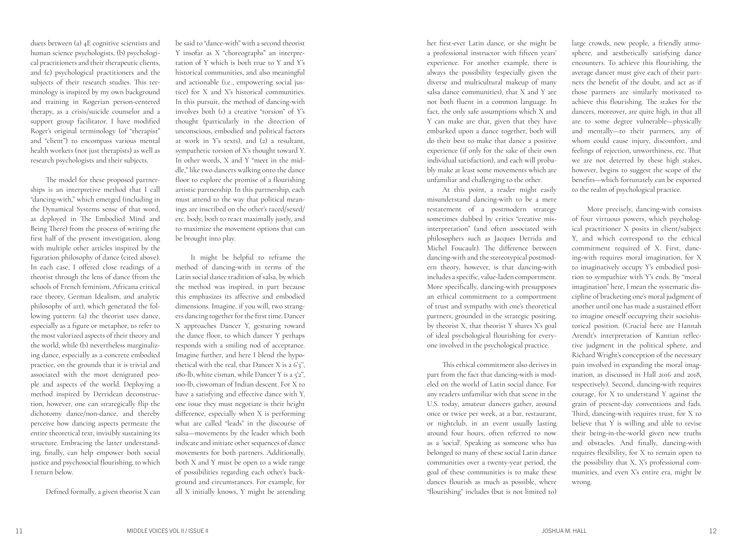duets between (a) 4E cognitive scientists and human science psychologists, (b) psychologi cal practitioners and their therapeutic clients, and (c) psychological practitioners and the subjects of their research studies. This ter minology is inspired by my own background and training in Rogerian person-centered therapy, as a crisis/suicide counselor and a support group facilitator. I have modified Roger's original terminology (of "therapist" and "client") to encompass various mental health workers (not just therapists) as well as research psychologists and their subjects.

The model for these proposed partner ships is an interpretive method that I call "dancing-with," which emerged (including in the Dynamical Systems sense of that word, as deployed in The Embodied Mind and Being There) from the process of writing the first half of the present investigation, along with multiple other articles inspired by the figuration philosophy of dance (cited above). In each case, I offered close readings of a theorist through the lens of dance (from the schools of French feminism, Africana critical race theory, German Idealism, and analytic philosophy of art), which generated the fol lowing pattern: (a) the theorist uses dance, especially as a figure or metaphor, to refer to the most valorized aspects of their theory and the world, while (b) nevertheless marginaliz ing dance, especially as a concrete embodied practice, on the grounds that it is trivial and associated with the most denigrated peo ple and aspects of the world. Deploying a method inspired by Derridean deconstruc tion, however, one can strategically flip the dichotomy dance/non-dance, and thereby perceive how dancing aspects permeate the entire theoretical text, invisibly sustaining its structure. Embracing the latter understand ing, finally, can help empower both social justice and psychosocial flourishing, to which I return below.

Defined formally, a given theorist X can

be said to "dance-with" with a second theorist Y insofar as X "choreographs" an interpre tation of Y which is both true to Y and Y's historical communities, and also meaningful and actionable (i.e., empowering social jus tice) for X and X's historical communities. In this pursuit, the method of dancing-with involves both (1) a creative "torsion" of Y's thought (particularly in the direction of unconscious, embodied and political factors at work in Y's texts), and (2) a resultant, sympathetic torsion of X's thought toward Y. In other words, X and Y "meet in the mid dle," like two dancers walking onto the dance floor to explore the promise of a flourishing artistic partnership. In this partnership, each must attend to the way that political mean ings are inscribed on the other's raced/sexed/ etc. body, both to react maximally justly, and to maximize the movement options that can be brought into play.

It might be helpful to reframe the method of dancing-with in terms of the Latin social dance tradition of salsa, by which the method was inspired, in part because this emphasizes its affective and embodied dimensions. Imagine, if you will, two strang ers dancing together for the first time. Dancer X approaches Dancer Y, gesturing toward the dance floor, to which dancer Y perhaps responds with a smiling nod of acceptance. Imagine further, and here I blend the hypo thetical with the real, that Dancer X is a 6'3'', 180-lb, white cisman, while Dancer Y is a 5'2", 100-lb, ciswoman of Indian descent. For X to have a satisfying and effective dance with Y, one issue they must negotiate is their height difference, especially when X is performing what are called "leads" in the discourse of salsa—movements by the leader which both indicate and initiate other sequences of dance movements for both partners. Additionally, both X and Y must be open to a wide range of possibilities regarding each other's background and circumstances. For example, for all X initially knows, Y might be attending her first-ever Latin dance, or she might be a professional instructor with fifteen years' experience. For another example, there is always the possibility (especially given the diverse and multicultural makeup of many salsa dance communities), that X and Y are not both fluent in a common language. In fact, the only safe assumptions which X and Y can make are that, given that they have embarked upon a dance together, both will do their best to make that dance a positive experience (if only for the sake of their own individual satisfaction), and each will proba bly make at least some movements which are unfamiliar and challenging to the other.

At this point, a reader might easily misunderstand dancing-with to be a mere restatement of a postmodern strategy sometimes dubbed by critics "creative mis interpretation" (and often associated with philosophers such as Jacques Derrida and Michel Foucault). The difference between dancing-with and the stereotypical postmod ern theory, however, is that dancing-with includes a specific, value-laden comportment. More specifically, dancing-with presupposes an ethical commitment to a comportment of trust and sympathy with one's theoretical partners, grounded in the strategic positing, by theorist X, that theorist Y shares X's goal of ideal psychological flourishing for every one involved in the psychological practice.

This ethical commitment also derives in part from the fact that dancing-with is mod eled on the world of Latin social dance. For any readers unfamiliar with that scene in the U.S. today, amateur dancers gather, around once or twice per week, at a bar, restaurant, or nightclub, in an event usually lasting around four hours, often referred to now as a 'social'. Speaking as someone who has belonged to many of these social Latin dance communities over a twenty-year period, the goal of these communities is to make these dances flourish as much as possible, where "flourishing" includes (but is not limited to)

large crowds, new people, a friendly atmo sphere, and aesthetically satisfying dance encounters. To achieve this flourishing, the average dancer must give each of their part ners the benefit of the doubt, and act as if those partners are similarly motivated to achieve this flourishing. The stakes for the dancers, moreover, are quite high, in that all are to some degree vulnerable—physically and mentally—to their partners, any of whom could cause injury, discomfort, and feelings of rejection, unworthiness, etc. That we are not deterred by these high stakes, however, begins to suggest the scope of the benefits—which fortunately can be exported to the realm of psychological practice.

More precisely, dancing-with consists of four virtuous powers, which psycholog ical practitioner X posits in client/subject Y, and which correspond to the ethical commitment required of X. First, danc ing-with requires moral imagination, for X to imaginatively occupy Y's embodied posi tion to sympathize with Y's ends. By "moral imagination" here, I mean the systematic dis cipline of bracketing one's moral judgment of another until one has made a sustained effort to imagine oneself occupying their sociohis torical position. (Crucial here are Hannah Arendt's interpretation of Kantian reflec tive judgment in the political sphere, and Richard Wright's conception of the necessary pain involved in expanding the moral imag ination, as discussed in Hall 2016 and 2018, respectively). Second, dancing-with requires courage, for X to understand Y against the grain of present-day conventions and fads. Third, dancing-with requires trust, for X to believe that Y is willing and able to revise their being-in-the-world given new truths and obstacles. And finally, dancing-with requires flexibility, for X to remain open to the possibility that X, X's professional com munities, and even X's entire era, might be wrong.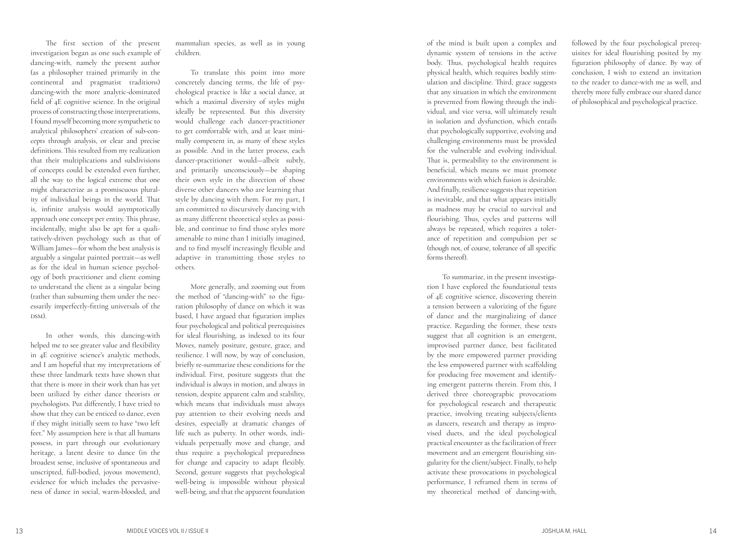The first section of the present investigation began as one such example of dancing-with, namely the present author (as a philosopher trained primarily in the continental and pragmatist traditions) dancing-with the more analytic-dominated field of 4E cognitive science. In the original process of constructing those interpretations, I found myself becoming more sympathetic to analytical philosophers' creation of sub-con cepts through analysis, or clear and precise definitions. This resulted from my realization that their multiplications and subdivisions of concepts could be extended even further, all the way to the logical extreme that one might characterize as a promiscuous plural ity of individual beings in the world. That is, infinite analysis would asymptotically approach one concept per entity. This phrase, incidentally, might also be apt for a quali tatively-driven psychology such as that of William James—for whom the best analysis is arguably a singular painted portrait—as well as for the ideal in human science psychol ogy of both practitioner and client coming to understand the client as a singular being (rather than subsuming them under the nec essarily imperfectly-fitting universals of the DSM).

In other words, this dancing-with helped me to see greater value and flexibility in 4E cognitive science's analytic methods, and I am hopeful that my interpretations of these three landmark texts have shown that that there is more in their work than has yet been utilized by either dance theorists or psychologists. Put differently, I have tried to show that they can be enticed to dance, even if they might initially seem to have "two left feet." My assumption here is that all humans possess, in part through our evolutionary heritage, a latent desire to dance (in the broadest sense, inclusive of spontaneous and unscripted, full-bodied, joyous movement), evidence for which includes the pervasive ness of dance in social, warm-blooded, and

mammalian species, as well as in young children.

To translate this point into more concretely dancing terms, the life of psy chological practice is like a social dance, at which a maximal diversity of styles might ideally be represented. But this diversity would challenge each dancer-practitioner to get comfortable with, and at least mini mally competent in, as many of these styles as possible. And in the latter process, each dancer-practitioner would—albeit subtly, and primarily unconsciously—be shaping their own style in the direction of those diverse other dancers who are learning that style by dancing with them. For my part, I am committed to discursively dancing with as many different theoretical styles as possi ble, and continue to find those styles more amenable to mine than I initially imagined, and to find myself increasingly flexible and adaptive in transmitting those styles to others.

More generally, and zooming out from the method of "dancing-with" to the figu ration philosophy of dance on which it was based, I have argued that figuration implies four psychological and political prerequisites for ideal flourishing, as indexed to its four Moves, namely positure, gesture, grace, and resilience. I will now, by way of conclusion, briefly re-summarize these conditions for the individual. First, positure suggests that the individual is always in motion, and always in tension, despite apparent calm and stability, which means that individuals must always pay attention to their evolving needs and desires, especially at dramatic changes of life such as puberty. In other words, indi viduals perpetually move and change, and thus require a psychological preparedness for change and capacity to adapt flexibly. Second, gesture suggests that psychological well-being is impossible without physical well-being, and that the apparent foundation

of the mind is built upon a complex and dynamic system of tensions in the active body. Thus, psychological health requires physical health, which requires bodily stim ulation and discipline. Third, grace suggests that any situation in which the environment is prevented from flowing through the indi vidual, and vice versa, will ultimately result in isolation and dysfunction, which entails that psychologically supportive, evolving and challenging environments must be provided for the vulnerable and evolving individual. That is, permeability to the environment is beneficial, which means we must promote environments with which fusion is desirable. And finally, resilience suggests that repetition is inevitable, and that what appears initially as madness may be crucial to survival and flourishing. Thus, cycles and patterns will always be repeated, which requires a toler ance of repetition and compulsion per se (though not, of course, tolerance of all specific forms thereof).

To summarize, in the present investiga tion I have explored the foundational texts of 4E cognitive science, discovering therein a tension between a valorizing of the figure of dance and the marginalizing of dance practice. Regarding the former, these texts suggest that all cognition is an emergent, improvised partner dance, best facilitated by the more empowered partner providing the less empowered partner with scaffolding for producing free movement and identify ing emergent patterns therein. From this, I derived three choreographic provocations for psychological research and therapeutic practice, involving treating subjects/clients as dancers, research and therapy as impro vised duets, and the ideal psychological practical encounter as the facilitation of freer movement and an emergent flourishing sin gularity for the client/subject. Finally, to help activate these provocations in psychological performance, I reframed them in terms of my theoretical method of dancing-with,

followed by the four psychological prereq uisites for ideal flourishing posited by my figuration philosophy of dance. By way of conclusion, I wish to extend an invitation to the reader to dance-with me as well, and thereby more fully embrace our shared dance of philosophical and psychological practice.